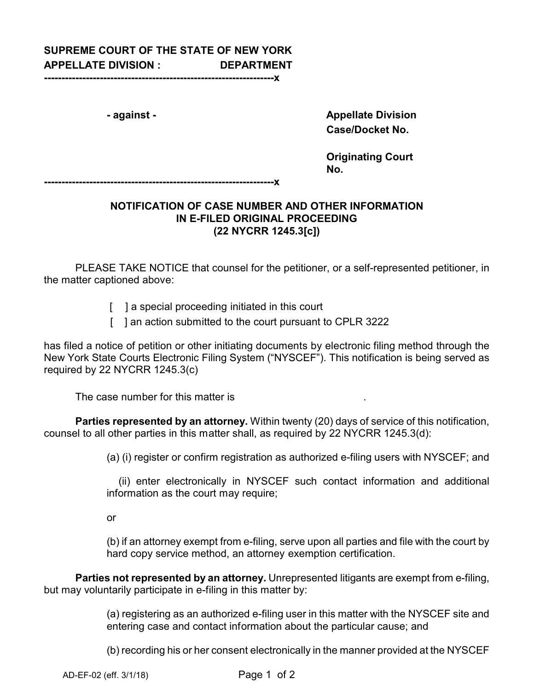## **SUPREME COURT OF THE STATE OF NEW YORK APPELLATE DIVISION : DEPARTMENT**

**------------------------------------------------------------------x**

**- against - Appellate Division Case/Docket No.**

> **Originating Court No.**

**------------------------------------------------------------------x**

## **NOTIFICATION OF CASE NUMBER AND OTHER INFORMATION IN E-FILED ORIGINAL PROCEEDING (22 NYCRR 1245.3[c])**

PLEASE TAKE NOTICE that counsel for the petitioner, or a self-represented petitioner, in the matter captioned above:

- [ ] a special proceeding initiated in this court
- [ ] an action submitted to the court pursuant to CPLR 3222

has filed a notice of petition or other initiating documents by electronic filing method through the New York State Courts Electronic Filing System ("NYSCEF"). This notification is being served as required by 22 NYCRR 1245.3(c)

The case number for this matter is .

**Parties represented by an attorney.** Within twenty (20) days of service of this notification, counsel to all other parties in this matter shall, as required by 22 NYCRR 1245.3(d):

(a) (i) register or confirm registration as authorized e-filing users with NYSCEF; and

(ii) enter electronically in NYSCEF such contact information and additional information as the court may require;

or

(b) if an attorney exempt from e-filing, serve upon all parties and file with the court by hard copy service method, an attorney exemption certification.

**Parties not represented by an attorney.** Unrepresented litigants are exempt from e-filing, but may voluntarily participate in e-filing in this matter by:

> (a) registering as an authorized e-filing user in this matter with the NYSCEF site and entering case and contact information about the particular cause; and

> (b) recording his or her consent electronically in the manner provided at the NYSCEF